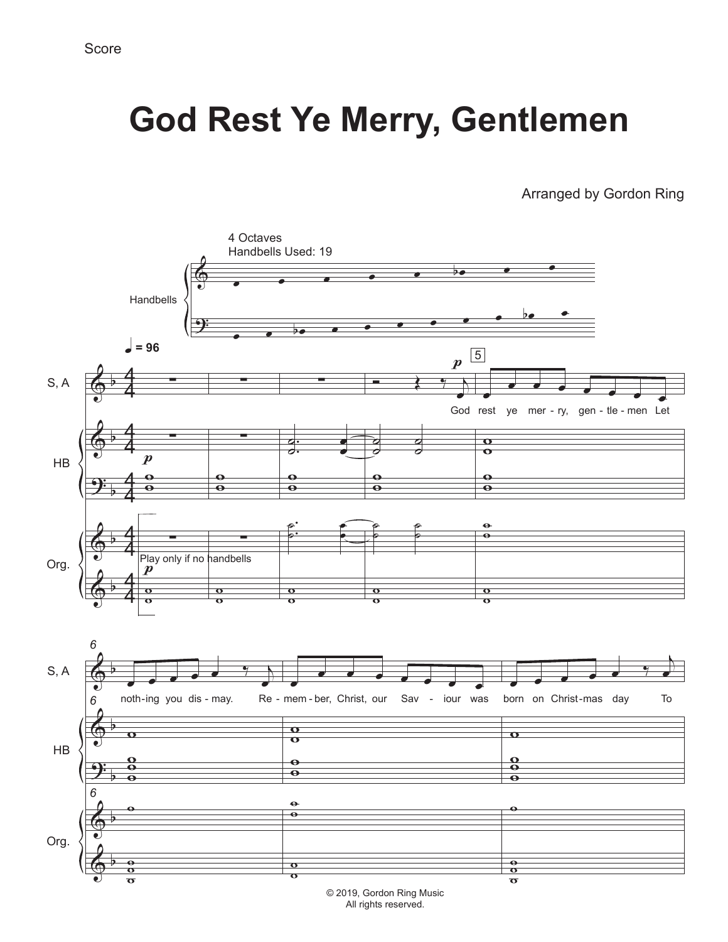## **God Rest Ye Merry, Gentlemen**

Arranged by Gordon Ring



All rights reserved.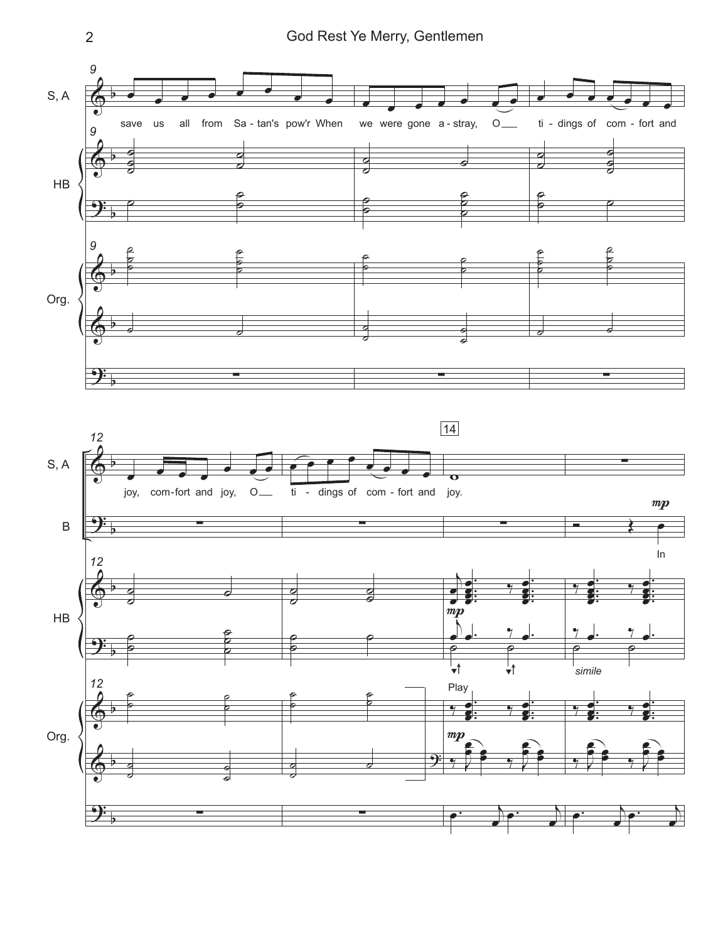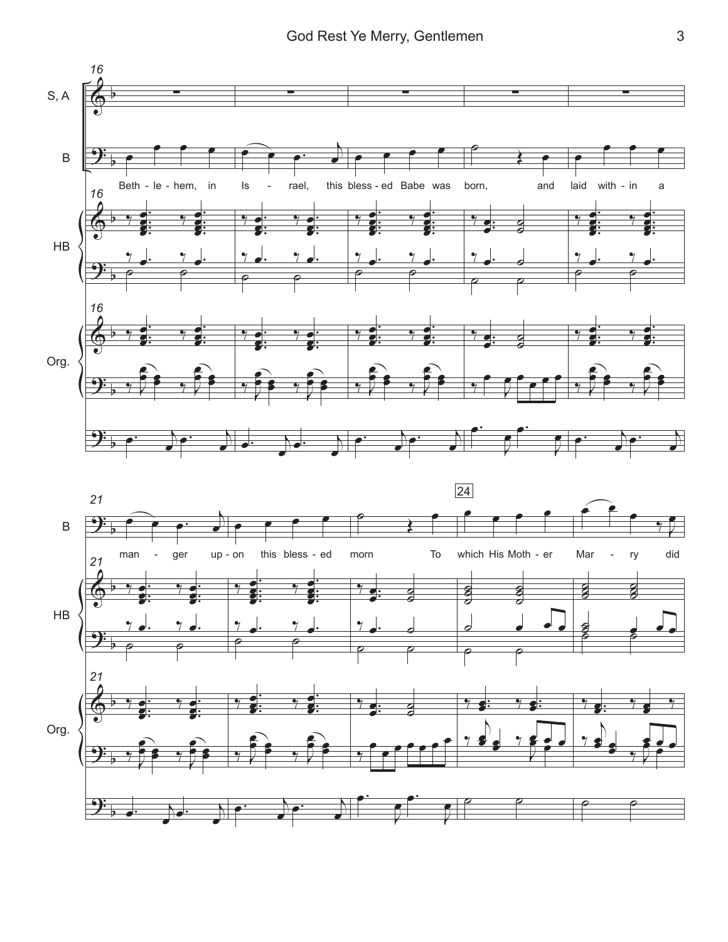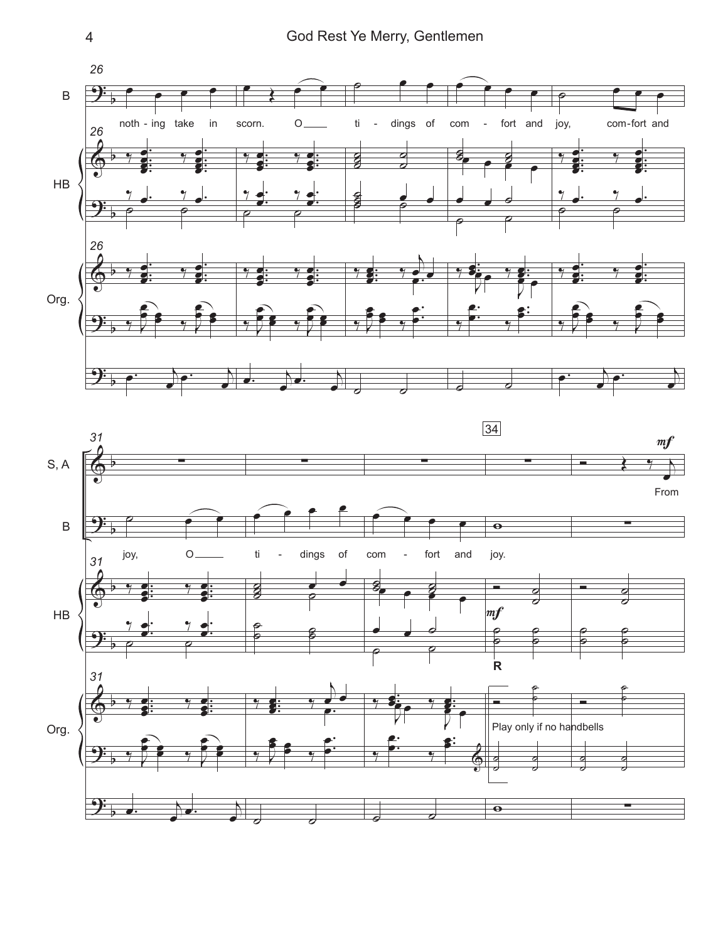4 God Rest Ye Merry, Gentlemen



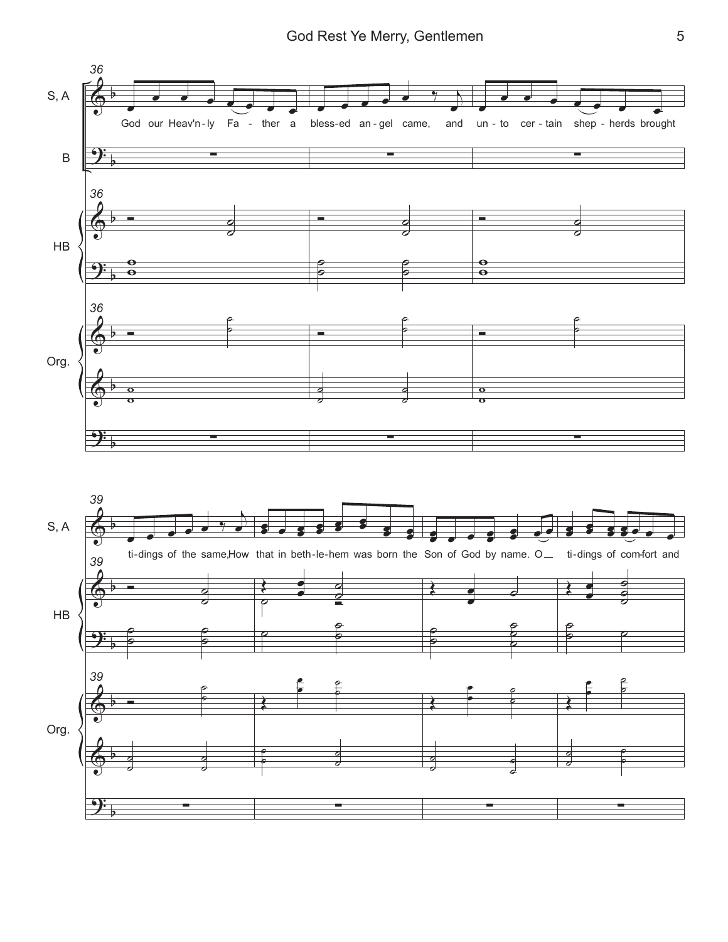

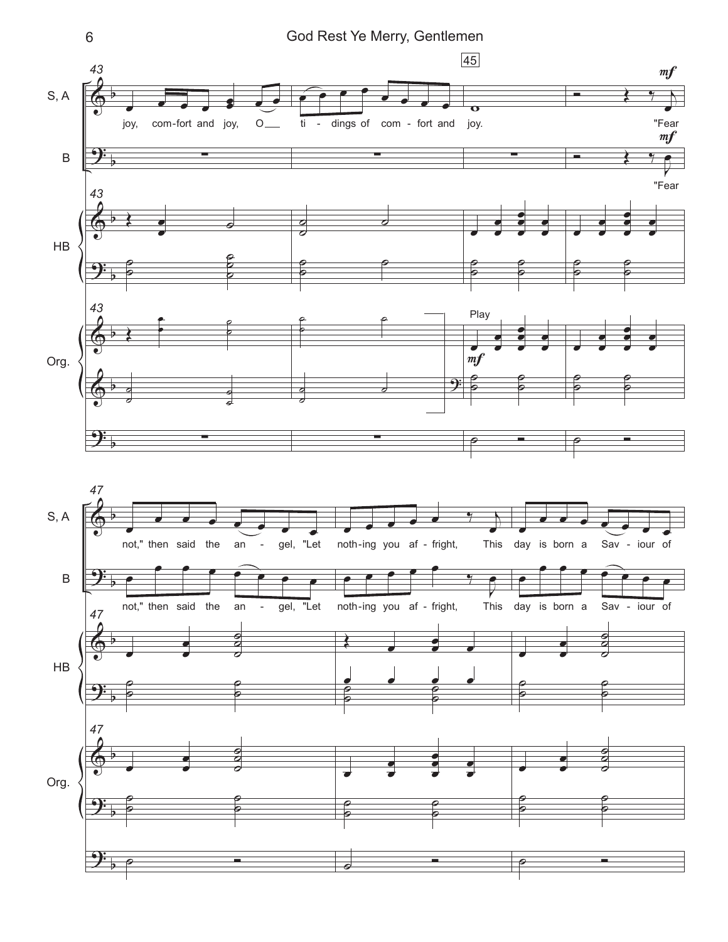

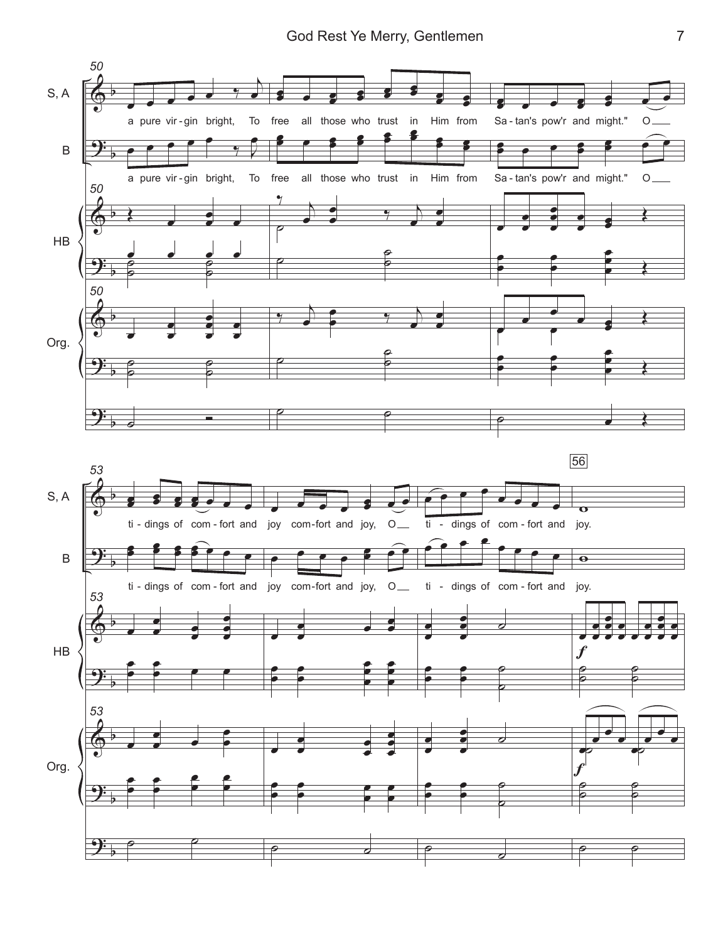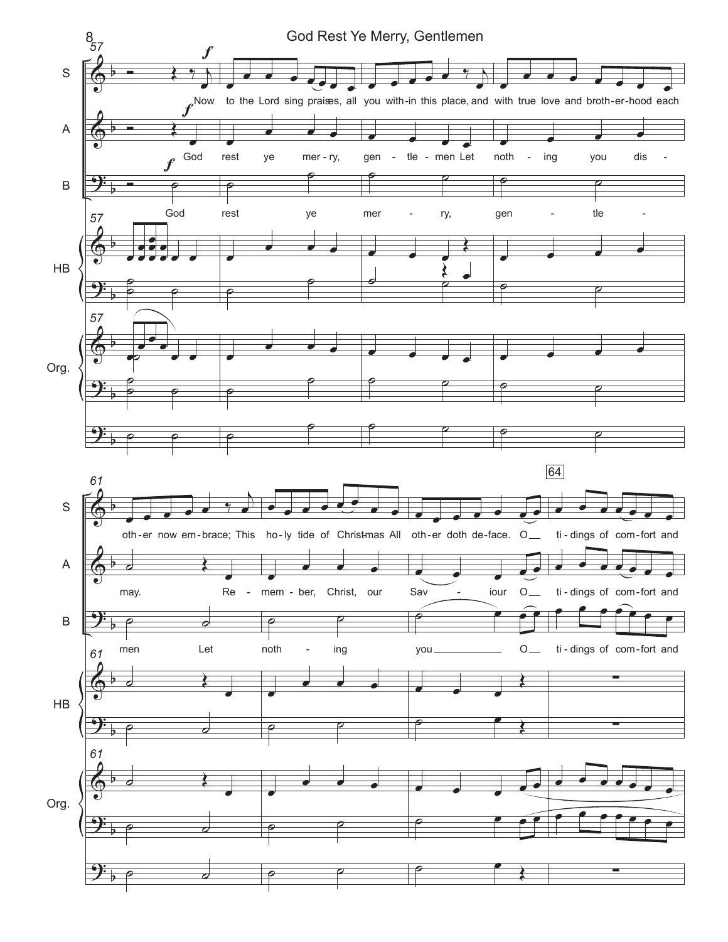